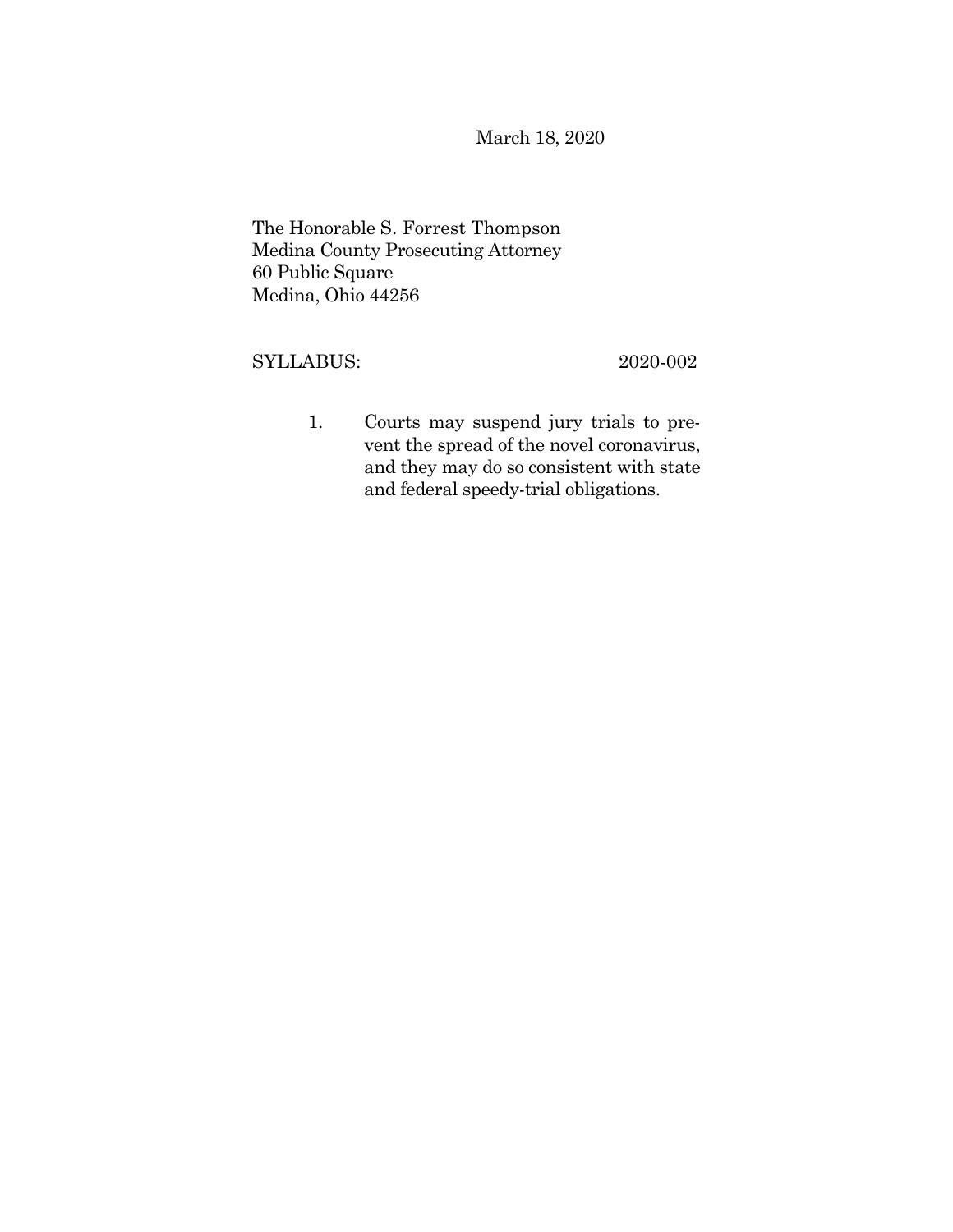March 18, 2020

The Honorable S. Forrest Thompson Medina County Prosecuting Attorney 60 Public Square Medina, Ohio 44256

# SYLLABUS: 2020-002

1. Courts may suspend jury trials to prevent the spread of the novel coronavirus, and they may do so consistent with state and federal speedy-trial obligations.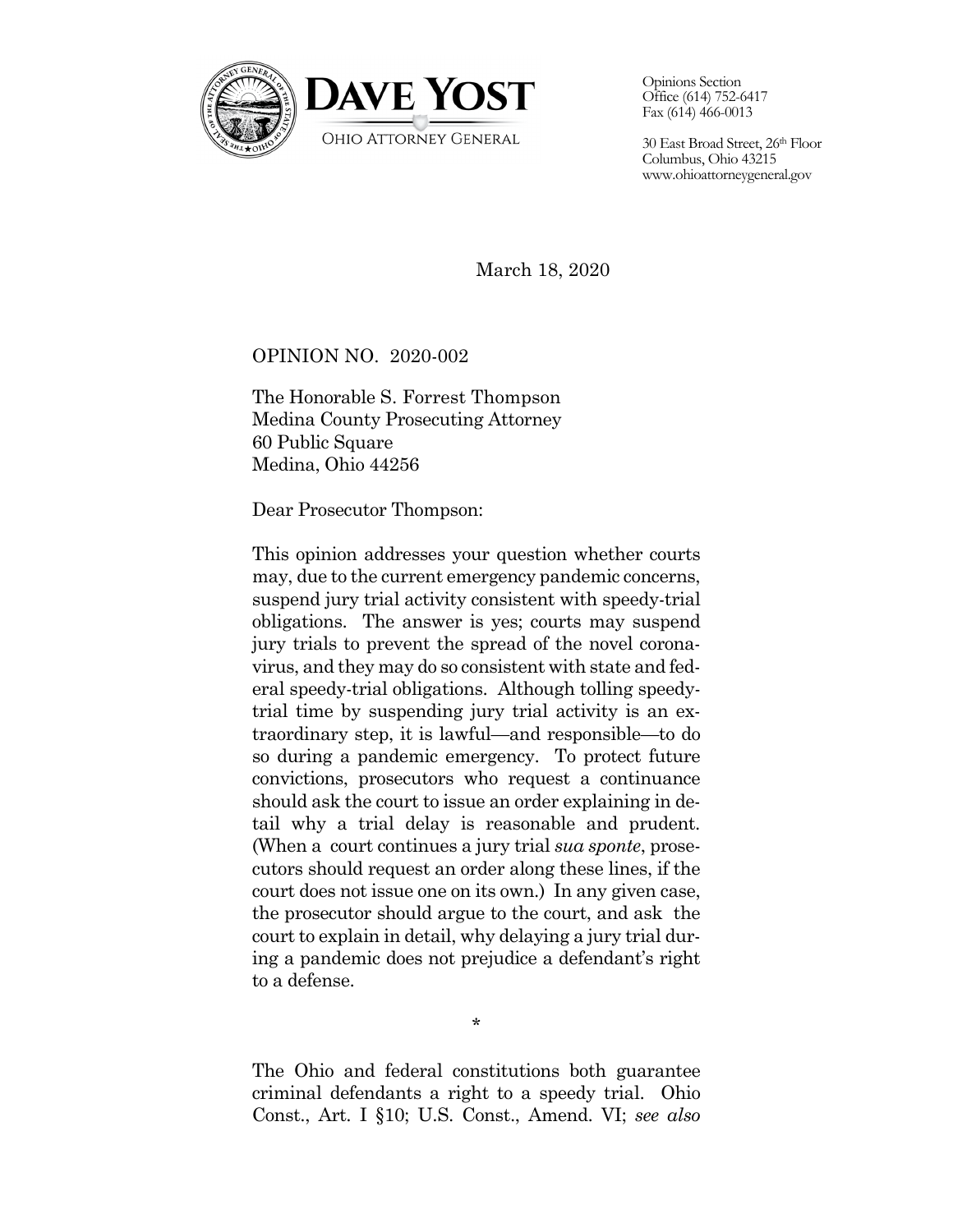

Opinions Section Office (614) 752-6417 Fax (614) 466-0013

30 East Broad Street, 26th Floor Columbus, Ohio 43215 <www.ohioattorneygeneral.gov>

March 18, 2020

# OPINION NO. 2020-002

The Honorable S. Forrest Thompson Medina County Prosecuting Attorney 60 Public Square Medina, Ohio 44256

Dear Prosecutor Thompson:

This opinion addresses your question whether courts may, due to the current emergency pandemic concerns, suspend jury trial activity consistent with speedy-trial obligations. The answer is yes; courts may suspend jury trials to prevent the spread of the novel coronavirus, and they may do so consistent with state and federal speedy-trial obligations. Although tolling speedytrial time by suspending jury trial activity is an extraordinary step, it is lawful—and responsible—to do so during a pandemic emergency. To protect future convictions, prosecutors who request a continuance should ask the court to issue an order explaining in detail why a trial delay is reasonable and prudent. (When a court continues a jury trial *sua sponte*, prosecutors should request an order along these lines, if the court does not issue one on its own.) In any given case, the prosecutor should argue to the court, and ask the court to explain in detail, why delaying a jury trial during a pandemic does not prejudice a defendant's right to a defense.

\*

The Ohio and federal constitutions both guarantee criminal defendants a right to a speedy trial. Ohio Const., Art. I §10; U.S. Const., Amend. VI; *see also*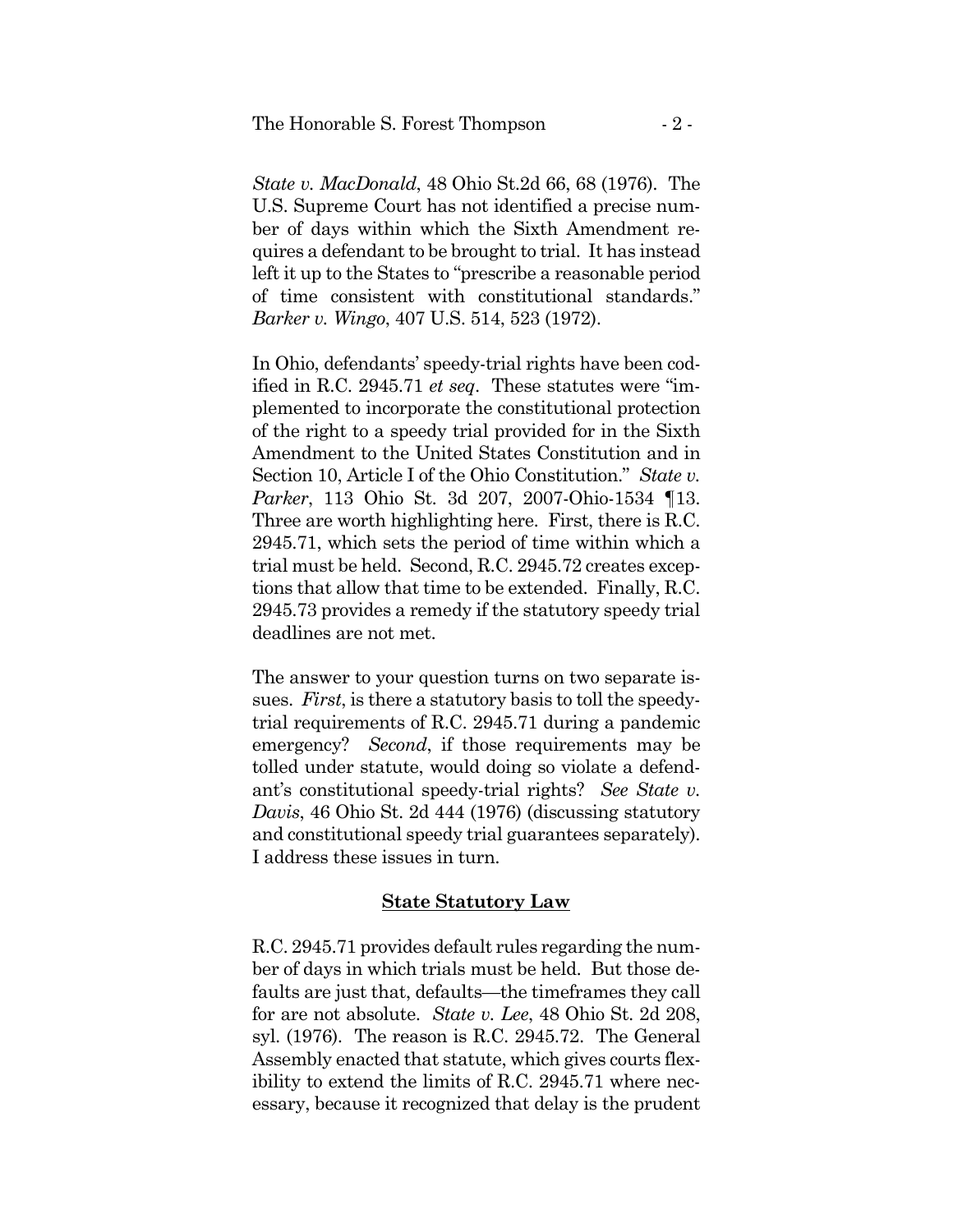*State v. MacDonald*, 48 Ohio St.2d 66, 68 (1976). The U.S. Supreme Court has not identified a precise number of days within which the Sixth Amendment requires a defendant to be brought to trial. It has instead left it up to the States to "prescribe a reasonable period of time consistent with constitutional standards." *Barker v. Wingo*, 407 U.S. 514, 523 (1972).

In Ohio, defendants' speedy-trial rights have been codified in R.C. 2945.71 *et seq*. These statutes were "implemented to incorporate the constitutional protection of the right to a speedy trial provided for in the Sixth Amendment to the United States Constitution and in Section 10, Article I of the Ohio Constitution." *State v. Parker*, 113 Ohio St. 3d 207, 2007-Ohio-1534 ¶13. Three are worth highlighting here. First, there is R.C. 2945.71, which sets the period of time within which a trial must be held. Second, R.C. 2945.72 creates exceptions that allow that time to be extended. Finally, R.C. 2945.73 provides a remedy if the statutory speedy trial deadlines are not met.

 emergency? *Second*, if those requirements may be The answer to your question turns on two separate issues. *First*, is there a statutory basis to toll the speedytrial requirements of R.C. 2945.71 during a pandemic tolled under statute, would doing so violate a defendant's constitutional speedy-trial rights? *See State v. Davis*, 46 Ohio St. 2d 444 (1976) (discussing statutory and constitutional speedy trial guarantees separately). I address these issues in turn.

## **State Statutory Law**

R.C. 2945.71 provides default rules regarding the number of days in which trials must be held. But those defaults are just that, defaults—the timeframes they call for are not absolute. *State v. Lee*, 48 Ohio St. 2d 208, syl. (1976). The reason is R.C. 2945.72. The General Assembly enacted that statute, which gives courts flexibility to extend the limits of R.C. 2945.71 where necessary, because it recognized that delay is the prudent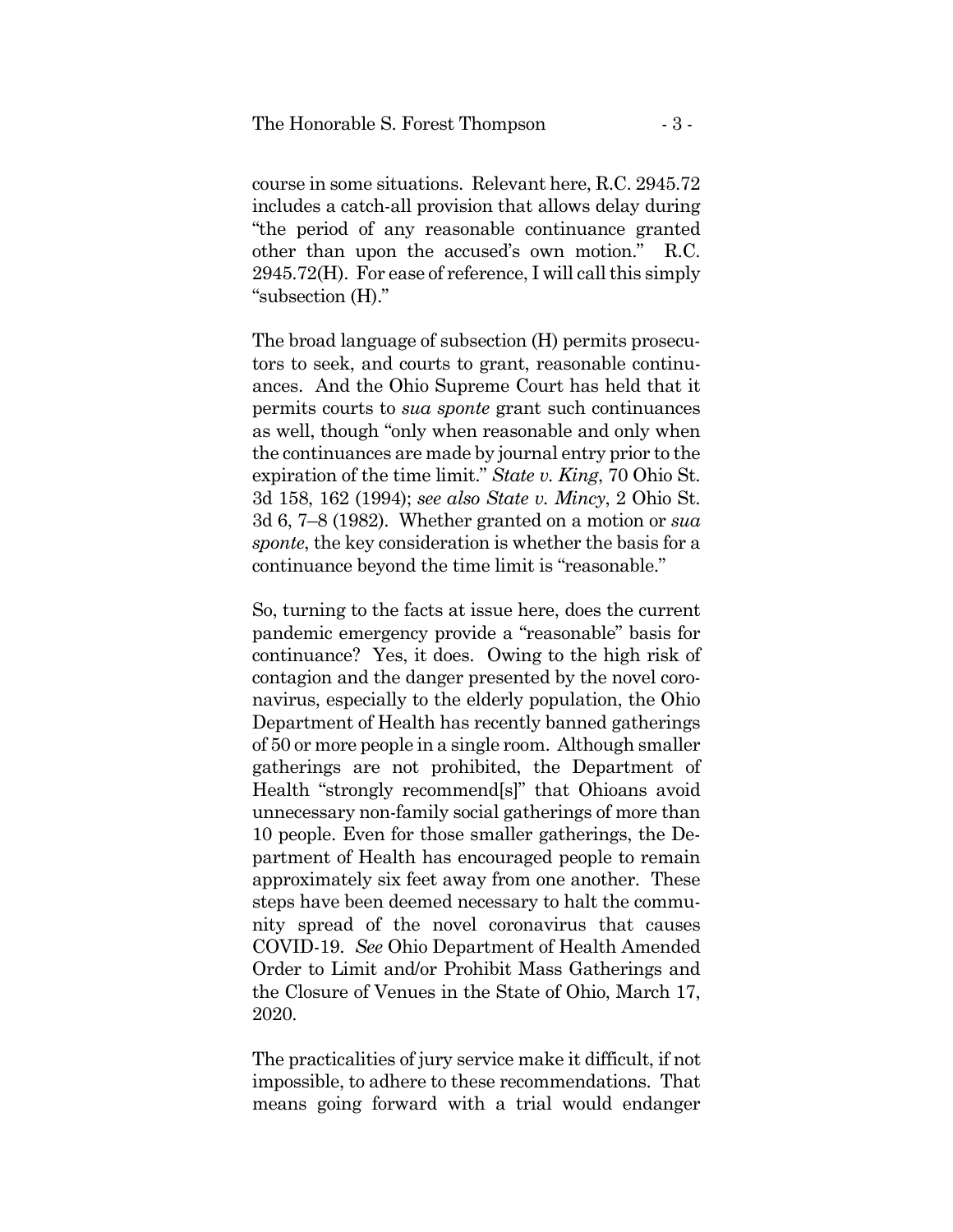course in some situations. Relevant here, R.C. 2945.72 includes a catch-all provision that allows delay during "the period of any reasonable continuance granted other than upon the accused's own motion." R.C. 2945.72(H). For ease of reference, I will call this simply "subsection (H)."

The broad language of subsection (H) permits prosecutors to seek, and courts to grant, reasonable continuances. And the Ohio Supreme Court has held that it permits courts to *sua sponte* grant such continuances as well, though "only when reasonable and only when the continuances are made by journal entry prior to the expiration of the time limit." *State v. King*, 70 Ohio St. 3d 158, 162 (1994); *see also State v. Mincy*, 2 Ohio St. 3d 6, 7–8 (1982). Whether granted on a motion or *sua sponte*, the key consideration is whether the basis for a continuance beyond the time limit is "reasonable."

So, turning to the facts at issue here, does the current pandemic emergency provide a "reasonable" basis for continuance? Yes, it does. Owing to the high risk of contagion and the danger presented by the novel coronavirus, especially to the elderly population, the Ohio Department of Health has recently banned gatherings of 50 or more people in a single room. Although smaller gatherings are not prohibited, the Department of Health "strongly recommend[s]" that Ohioans avoid unnecessary non-family social gatherings of more than 10 people. Even for those smaller gatherings, the Department of Health has encouraged people to remain approximately six feet away from one another. These steps have been deemed necessary to halt the community spread of the novel coronavirus that causes COVID-19. *See* Ohio Department of Health Amended Order to Limit and/or Prohibit Mass Gatherings and the Closure of Venues in the State of Ohio, March 17, 2020.

The practicalities of jury service make it difficult, if not impossible, to adhere to these recommendations. That means going forward with a trial would endanger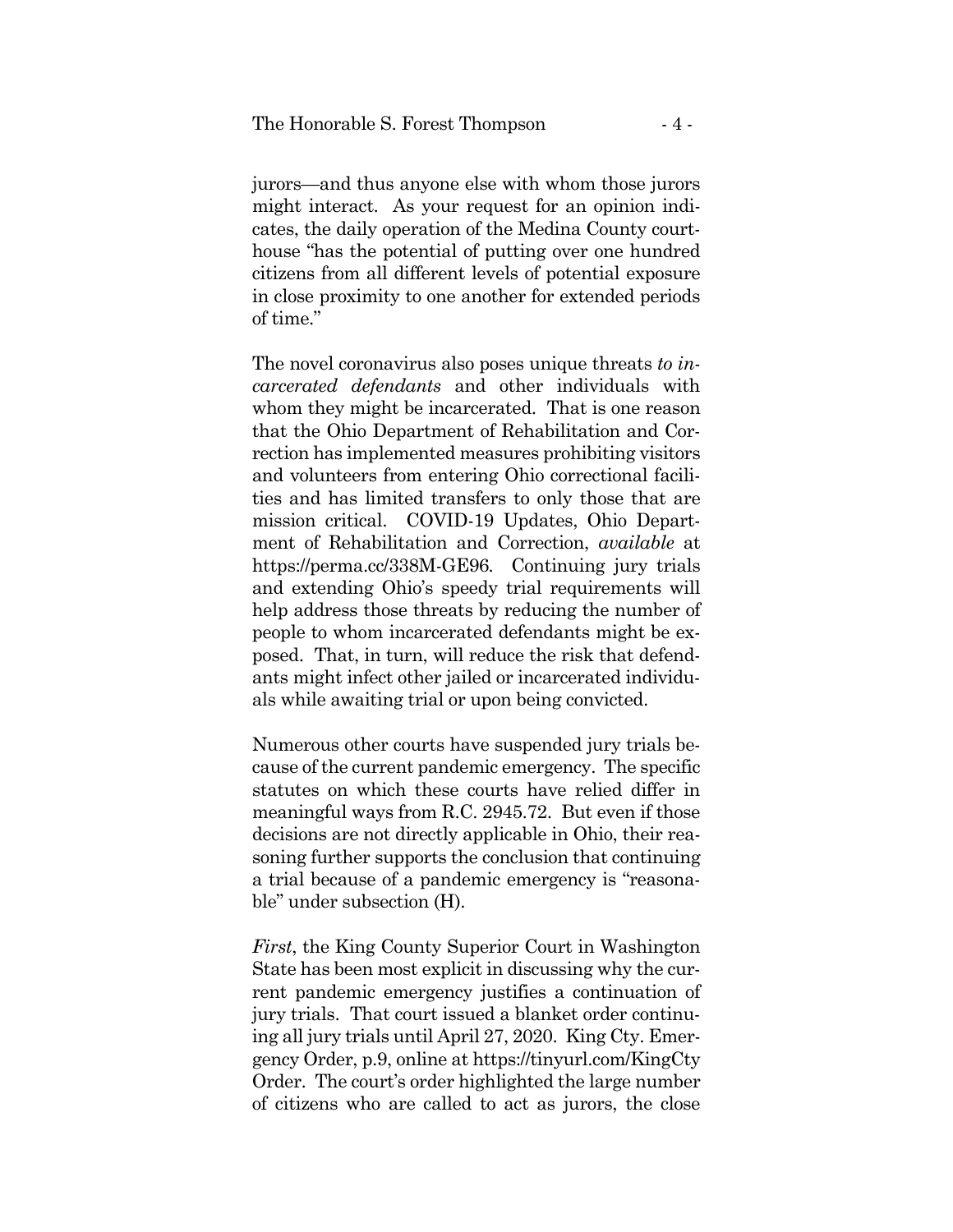jurors—and thus anyone else with whom those jurors might interact. As your request for an opinion indicates, the daily operation of the Medina County courthouse "has the potential of putting over one hundred citizens from all different levels of potential exposure in close proximity to one another for extended periods of time."

The novel coronavirus also poses unique threats *to incarcerated defendants* and other individuals with whom they might be incarcerated. That is one reason that the Ohio Department of Rehabilitation and Correction has implemented measures prohibiting visitors and volunteers from entering Ohio correctional facilities and has limited transfers to only those that are mission critical. COVID-19 Updates, Ohio Department of Rehabilitation and Correction, *available* at <https://perma.cc/338M-GE96>*.* Continuing jury trials and extending Ohio's speedy trial requirements will help address those threats by reducing the number of people to whom incarcerated defendants might be exposed. That, in turn, will reduce the risk that defendants might infect other jailed or incarcerated individuals while awaiting trial or upon being convicted.

Numerous other courts have suspended jury trials because of the current pandemic emergency. The specific statutes on which these courts have relied differ in meaningful ways from R.C. 2945.72. But even if those decisions are not directly applicable in Ohio, their reasoning further supports the conclusion that continuing a trial because of a pandemic emergency is "reasonable" under subsection (H).

*First*, the King County Superior Court in Washington State has been most explicit in discussing why the current pandemic emergency justifies a continuation of jury trials. That court issued a blanket order continuing all jury trials until April 27, 2020. King Cty. Emergency Order, p.9, online at<https://tinyurl.com/KingCty> Order. The court's order highlighted the large number of citizens who are called to act as jurors, the close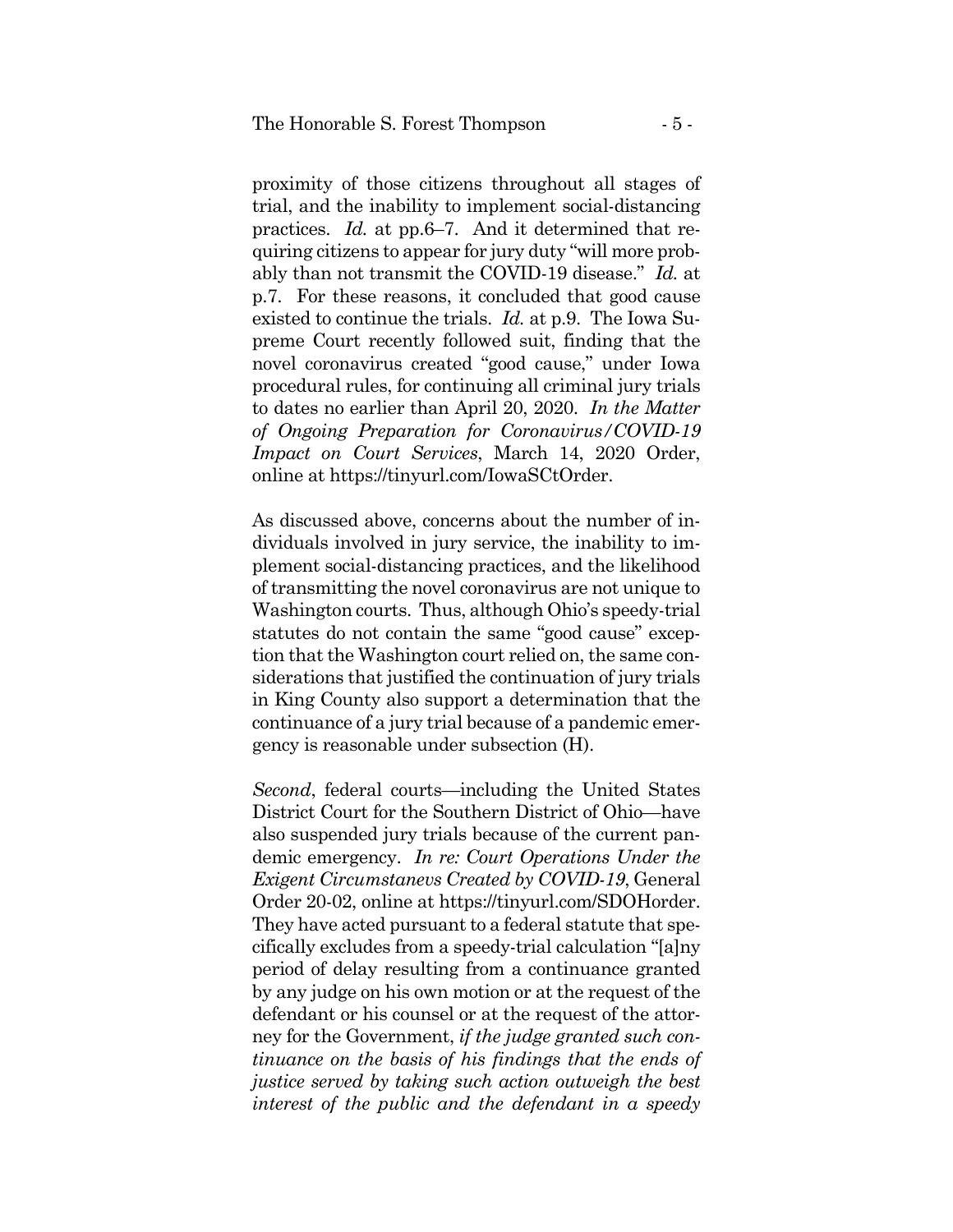proximity of those citizens throughout all stages of trial, and the inability to implement social-distancing practices. *Id.* at pp.6–7. And it determined that requiring citizens to appear for jury duty "will more probably than not transmit the COVID-19 disease." *Id.* at p.7. For these reasons, it concluded that good cause existed to continue the trials. *Id.* at p.9. The Iowa Supreme Court recently followed suit, finding that the novel coronavirus created "good cause," under Iowa procedural rules, for continuing all criminal jury trials to dates no earlier than April 20, 2020. *In the Matter of Ongoing Preparation for Coronavirus/COVID-19 Impact on Court Services*, March 14, 2020 Order, online at [https://tinyurl.com/IowaSCtOrder.](https://tinyurl.com/IowaSCtOrder)

As discussed above, concerns about the number of individuals involved in jury service, the inability to implement social-distancing practices, and the likelihood of transmitting the novel coronavirus are not unique to Washington courts. Thus, although Ohio's speedy-trial statutes do not contain the same "good cause" exception that the Washington court relied on, the same considerations that justified the continuation of jury trials in King County also support a determination that the continuance of a jury trial because of a pandemic emergency is reasonable under subsection (H).

*Second*, federal courts—including the United States District Court for the Southern District of Ohio—have also suspended jury trials because of the current pandemic emergency. *In re: Court Operations Under the Exigent Circumstanevs Created by COVID-19*, General Order 20-02, online at<https://tinyurl.com/SDOHorder>. They have acted pursuant to a federal statute that specifically excludes from a speedy-trial calculation "[a]ny period of delay resulting from a continuance granted by any judge on his own motion or at the request of the defendant or his counsel or at the request of the attorney for the Government, *if the judge granted such continuance on the basis of his findings that the ends of justice served by taking such action outweigh the best interest of the public and the defendant in a speedy*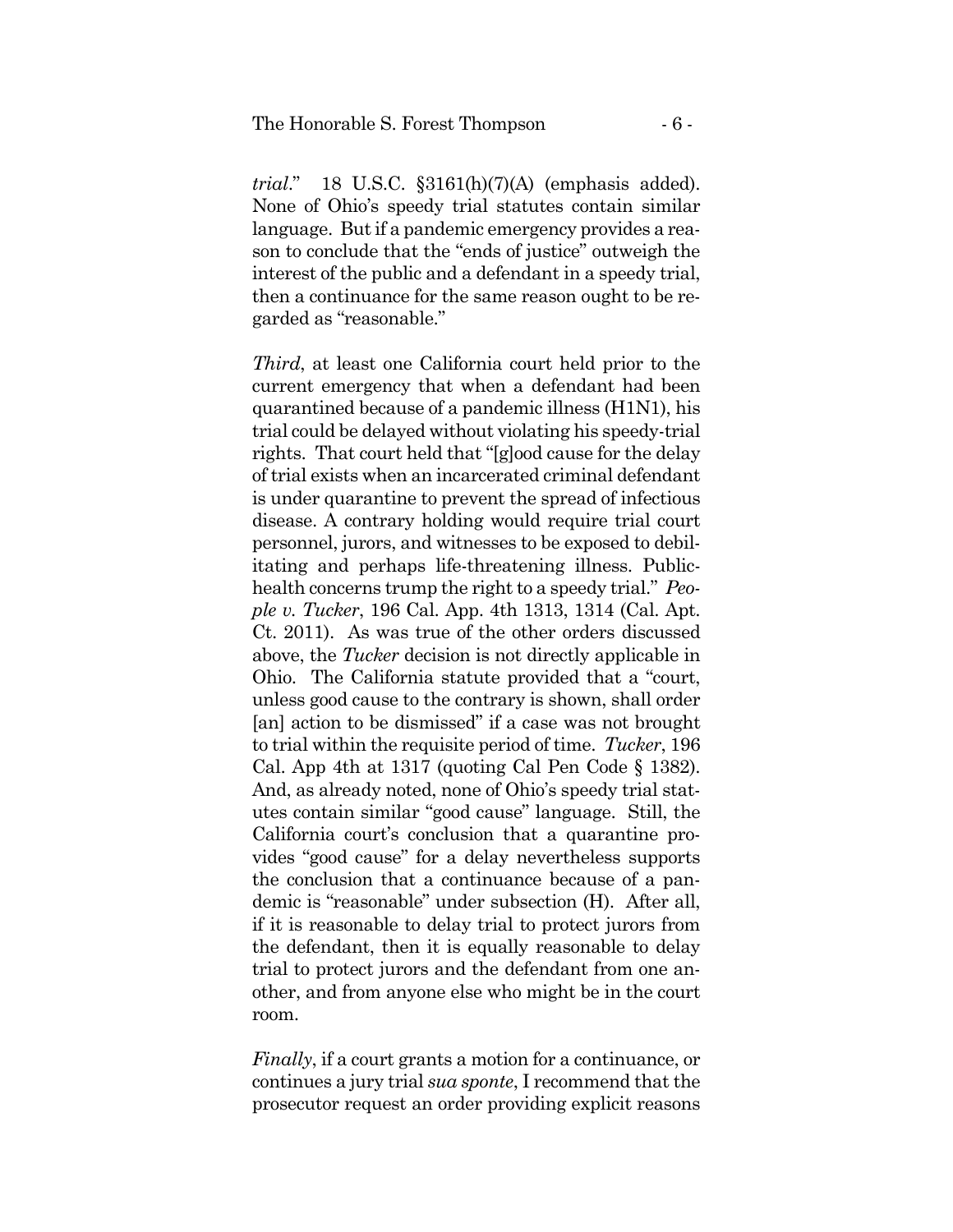*trial*." 18 U.S.C. §3161(h)(7)(A) (emphasis added). None of Ohio's speedy trial statutes contain similar language. But if a pandemic emergency provides a reason to conclude that the "ends of justice" outweigh the interest of the public and a defendant in a speedy trial, then a continuance for the same reason ought to be regarded as "reasonable."

*Third*, at least one California court held prior to the current emergency that when a defendant had been quarantined because of a pandemic illness (H1N1), his trial could be delayed without violating his speedy-trial rights. That court held that "[g]ood cause for the delay of trial exists when an incarcerated criminal defendant is under quarantine to prevent the spread of infectious disease. A contrary holding would require trial court personnel, jurors, and witnesses to be exposed to debilitating and perhaps life-threatening illness. Publichealth concerns trump the right to a speedy trial." *People v. Tucker*, 196 Cal. App. 4th 1313, 1314 (Cal. Apt. Ct. 2011). As was true of the other orders discussed above, the *Tucker* decision is not directly applicable in Ohio. The California statute provided that a "court, unless good cause to the contrary is shown, shall order [an] action to be dismissed" if a case was not brought to trial within the requisite period of time. *Tucker*, 196 Cal. App 4th at 1317 (quoting Cal Pen Code § 1382). And, as already noted, none of Ohio's speedy trial statutes contain similar "good cause" language. Still, the California court's conclusion that a quarantine provides "good cause" for a delay nevertheless supports the conclusion that a continuance because of a pandemic is "reasonable" under subsection (H). After all, if it is reasonable to delay trial to protect jurors from the defendant, then it is equally reasonable to delay trial to protect jurors and the defendant from one another, and from anyone else who might be in the court room.

*Finally*, if a court grants a motion for a continuance, or continues a jury trial *sua sponte*, I recommend that the prosecutor request an order providing explicit reasons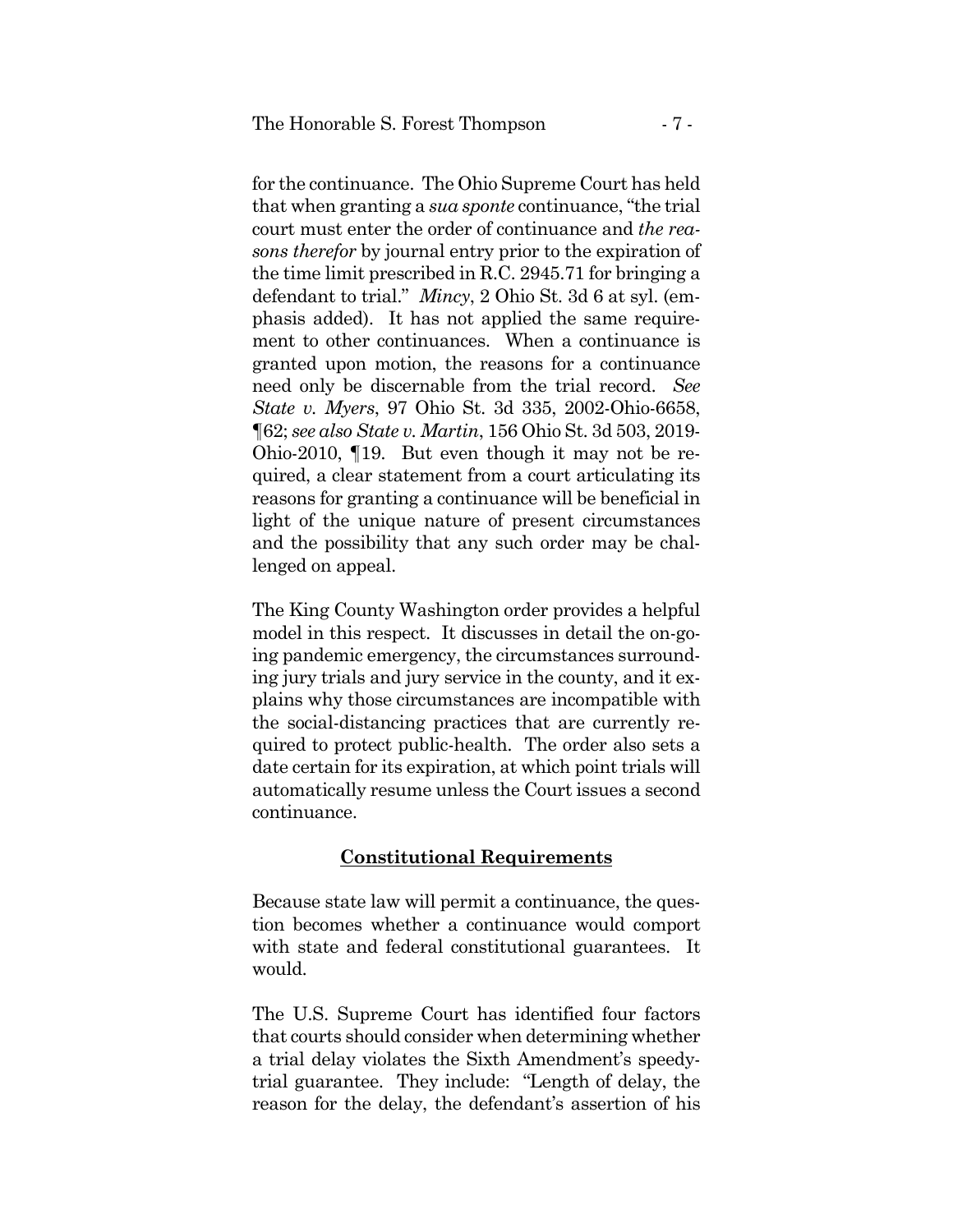for the continuance. The Ohio Supreme Court has held that when granting a *sua sponte* continuance, "the trial court must enter the order of continuance and *the reasons therefor* by journal entry prior to the expiration of the time limit prescribed in R.C. 2945.71 for bringing a defendant to trial." *Mincy*, 2 Ohio St. 3d 6 at syl. (emphasis added). It has not applied the same requirement to other continuances. When a continuance is granted upon motion, the reasons for a continuance need only be discernable from the trial record. *See State v. Myers*, 97 Ohio St. 3d 335, 2002-Ohio-6658, ¶62; *see also State v. Martin*, 156 Ohio St. 3d 503, 2019- Ohio-2010, ¶19. But even though it may not be required, a clear statement from a court articulating its reasons for granting a continuance will be beneficial in light of the unique nature of present circumstances and the possibility that any such order may be challenged on appeal.

The King County Washington order provides a helpful model in this respect. It discusses in detail the on-going pandemic emergency, the circumstances surrounding jury trials and jury service in the county, and it explains why those circumstances are incompatible with the social-distancing practices that are currently required to protect public-health. The order also sets a date certain for its expiration, at which point trials will automatically resume unless the Court issues a second continuance.

## **Constitutional Requirements**

Because state law will permit a continuance, the question becomes whether a continuance would comport with state and federal constitutional guarantees. It would.

The U.S. Supreme Court has identified four factors that courts should consider when determining whether a trial delay violates the Sixth Amendment's speedytrial guarantee. They include: "Length of delay, the reason for the delay, the defendant's assertion of his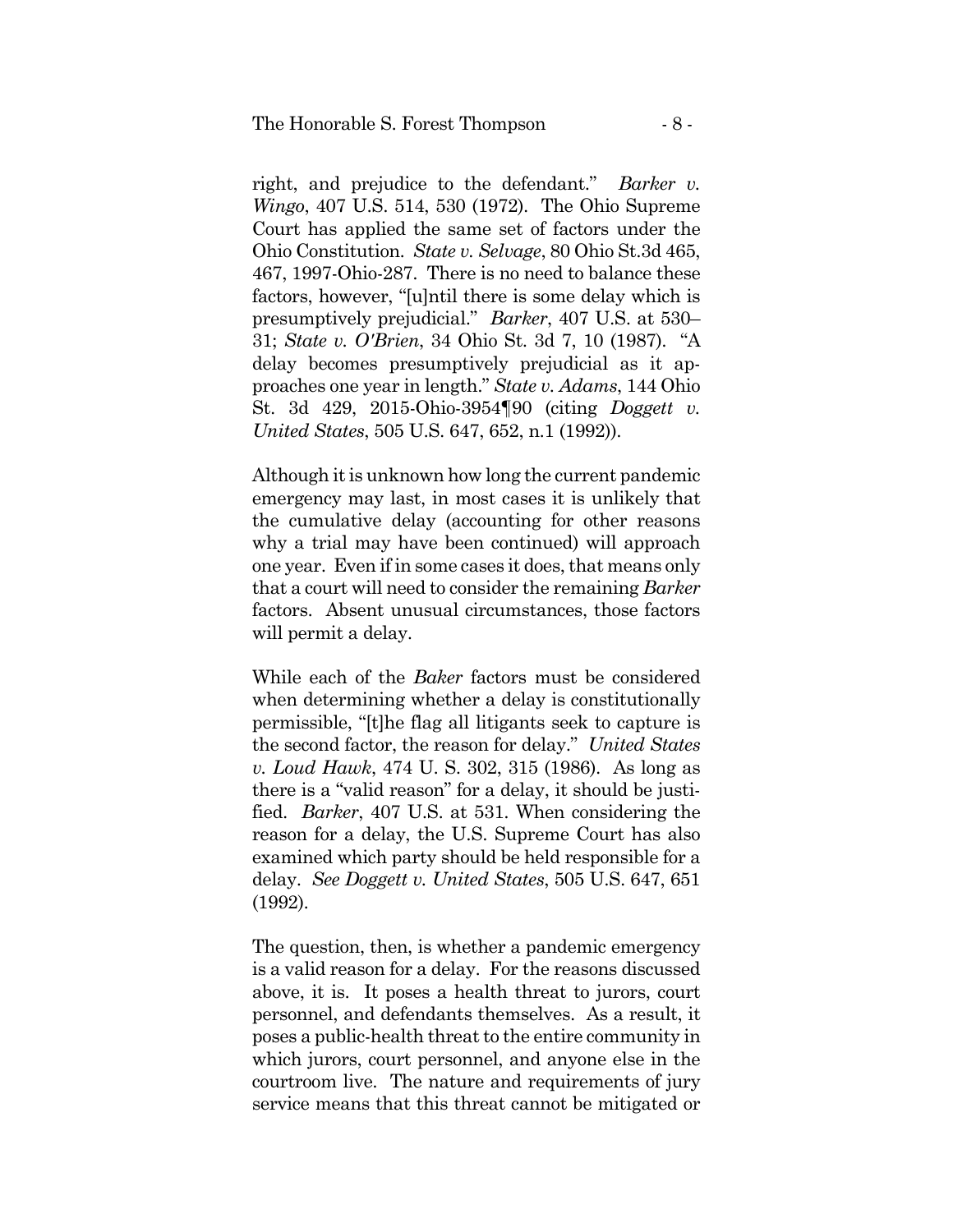right, and prejudice to the defendant." *Barker v. Wingo*, 407 U.S. 514, 530 (1972). The Ohio Supreme Court has applied the same set of factors under the Ohio Constitution. *State v. Selvage*, 80 Ohio St.3d 465, 467, 1997-Ohio-287. There is no need to balance these factors, however, "[u]ntil there is some delay which is presumptively prejudicial." *Barker*, 407 U.S. at 530– 31; *State v. O'Brien*, 34 Ohio St. 3d 7, 10 (1987). "A delay becomes presumptively prejudicial as it approaches one year in length." *State v. Adams*, 144 Ohio St. 3d 429, 2015-Ohio-3954¶90 (citing *Doggett v. United States*, 505 U.S. 647, 652, n.1 (1992)).

Although it is unknown how long the current pandemic emergency may last, in most cases it is unlikely that the cumulative delay (accounting for other reasons why a trial may have been continued) will approach one year. Even if in some cases it does, that means only that a court will need to consider the remaining *Barker*  factors. Absent unusual circumstances, those factors will permit a delay.

While each of the *Baker* factors must be considered when determining whether a delay is constitutionally permissible, "[t]he flag all litigants seek to capture is the second factor, the reason for delay." *United States v. Loud Hawk*, 474 U. S. 302, 315 (1986). As long as there is a "valid reason" for a delay, it should be justified. *Barker*, 407 U.S. at 531. When considering the reason for a delay, the U.S. Supreme Court has also examined which party should be held responsible for a delay. *See Doggett v. United States*, 505 U.S. 647, 651 (1992).

The question, then, is whether a pandemic emergency is a valid reason for a delay. For the reasons discussed above, it is. It poses a health threat to jurors, court personnel, and defendants themselves. As a result, it poses a public-health threat to the entire community in which jurors, court personnel, and anyone else in the courtroom live. The nature and requirements of jury service means that this threat cannot be mitigated or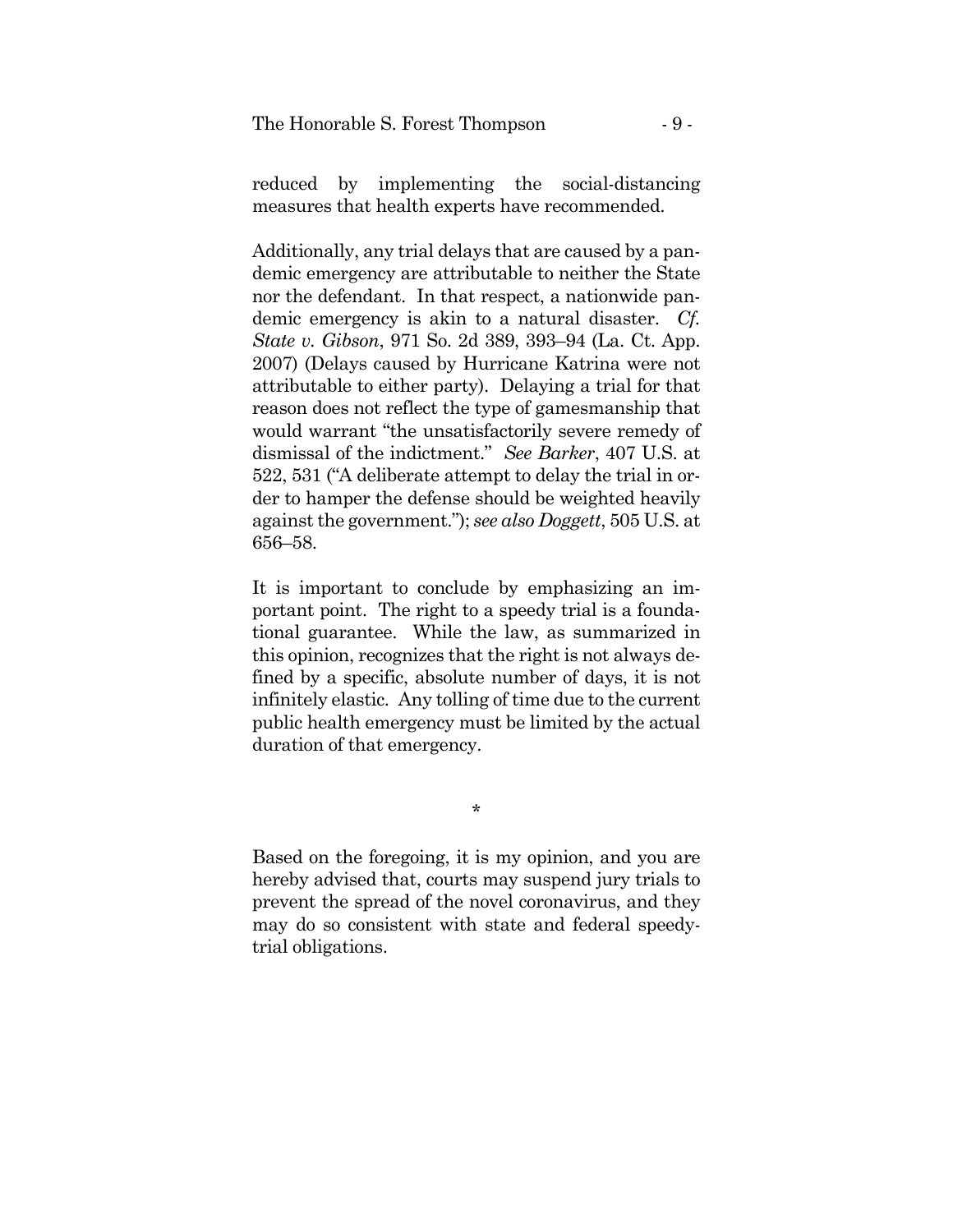measures that health experts have recommended. reduced by implementing the social-distancing

Additionally, any trial delays that are caused by a pandemic emergency are attributable to neither the State nor the defendant. In that respect, a nationwide pandemic emergency is akin to a natural disaster. *Cf. State v. Gibson*, 971 So. 2d 389, 393–94 (La. Ct. App. 2007) (Delays caused by Hurricane Katrina were not attributable to either party). Delaying a trial for that reason does not reflect the type of gamesmanship that would warrant "the unsatisfactorily severe remedy of dismissal of the indictment." *See Barker*, 407 U.S. at 522, 531 ("A deliberate attempt to delay the trial in order to hamper the defense should be weighted heavily against the government."); *see also Doggett*, 505 U.S. at 656–58.

It is important to conclude by emphasizing an important point. The right to a speedy trial is a foundational guarantee. While the law, as summarized in this opinion, recognizes that the right is not always defined by a specific, absolute number of days, it is not infinitely elastic. Any tolling of time due to the current public health emergency must be limited by the actual duration of that emergency.

\*

Based on the foregoing, it is my opinion, and you are hereby advised that, courts may suspend jury trials to prevent the spread of the novel coronavirus, and they may do so consistent with state and federal speedytrial obligations.